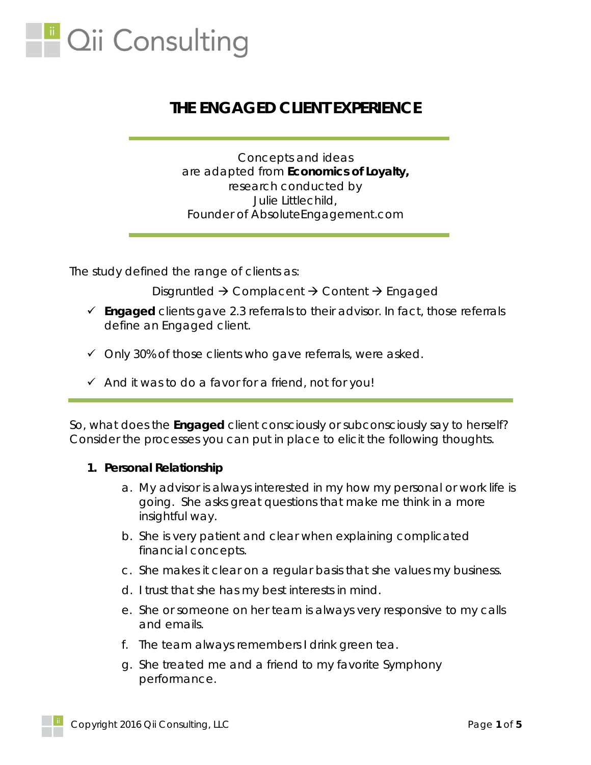

# **THE ENGAGED CLIENT EXPERIENCE**

*Concepts and ideas are adapted from Economics of Loyalty, research conducted by Julie Littlechild, Founder of AbsoluteEngagement.com*

The study defined the range of clients as:

Disgruntled  $\rightarrow$  Complacent  $\rightarrow$  Content  $\rightarrow$  Engaged

- **Engaged** clients gave 2.3 referrals to their advisor. In fact, those referrals *define* an Engaged client.
- $\checkmark$  Only 30% of those clients who gave referrals, were asked.
- $\checkmark$  And it was to do a favor for a friend, not for you!

So, what does the **Engaged** client consciously or subconsciously say to herself? Consider the processes you can put in place to elicit the following thoughts.

#### **1. Personal Relationship**

- a. My advisor is always interested in my how my personal or work life is going. She asks great questions that make me think in a more insightful way.
- b. She is very patient and clear when explaining complicated financial concepts.
- c. She makes it clear on a regular basis that she values my business.
- d. I trust that she has my best interests in mind.
- e. She or someone on her team is always very responsive to my calls and emails.
- f. The team always remembers I drink green tea.
- g. She treated me and a friend to my favorite Symphony performance.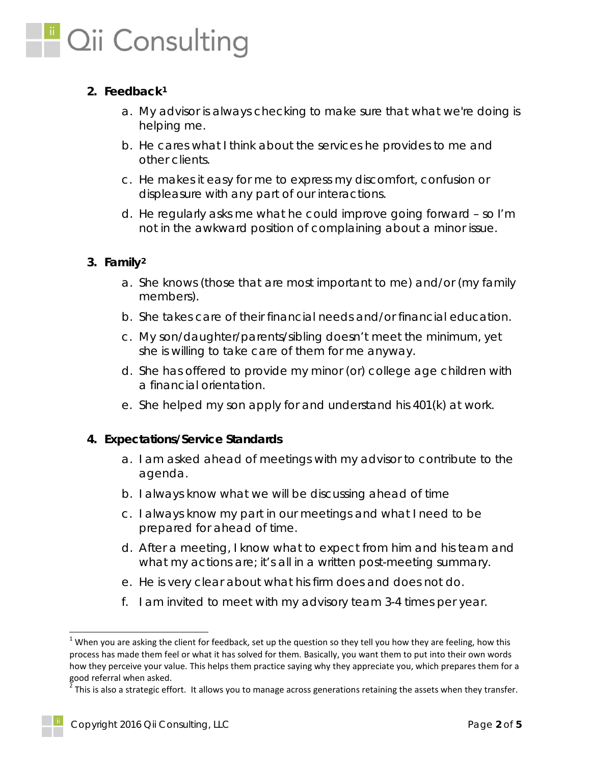

## **2. Feedback[1](#page-1-0)**

- a. My advisor is always checking to make sure that what we're doing is helping me.
- b. He cares what I think about the services he provides to me and other clients.
- c. He makes it easy for me to express my discomfort, confusion or displeasure with any part of our interactions.
- d. He regularly asks me what he could improve going forward so I'm not in the awkward position of complaining about a minor issue.

## **3. Family[2](#page-1-1)**

- a. She knows (*those that are most important to me*) and/or (*my family members*).
- b. She takes care of their financial needs and/or financial education.
- c. My son/daughter/parents/sibling doesn't meet the minimum, yet she is willing to take care of them for me anyway.
- d. She has offered to provide my minor (or) college age children with a financial orientation.
- e. She helped my son apply for and understand his 401(k) at work.

## **4. Expectations/Service Standards**

- a. I am asked ahead of meetings with my advisor to contribute to the agenda.
- b. I always know what we will be discussing ahead of time
- c. I always know my part in our meetings and what I need to be prepared for ahead of time.
- d. After a meeting, I know what to expect from him and his team and what my actions are; it's all in a written post-meeting summary.
- e. He is very clear about what his firm does and does not do.
- f. I am invited to meet with my advisory team 3-4 times per year.

<span id="page-1-0"></span> $1$  When you are asking the client for feedback, set up the question so they tell you how they are feeling, how this process has made them feel or what it has solved for them. Basically, you want them to put into their own words how they perceive your value. This helps them practice saying why they appreciate you, which prepares them for a good referral when asked.

<span id="page-1-1"></span> $^2$  This is also a strategic effort. It allows you to manage across generations retaining the assets when they transfer.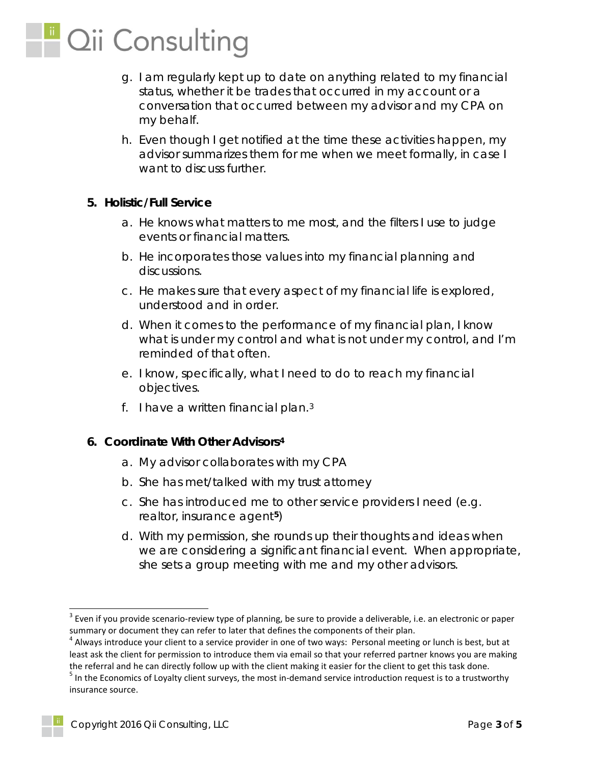

- g. I am regularly kept up to date on anything related to my financial status, whether it be trades that occurred in my account or a conversation that occurred between my advisor and my CPA on my behalf.
- h. Even though I get notified at the time these activities happen, my advisor summarizes them for me when we meet formally, in case I want to discuss further.

#### **5. Holistic/Full Service**

- a. He knows what matters to me most, and the filters I use to judge events or financial matters.
- b. He incorporates those values into my financial planning and discussions.
- c. He makes sure that every aspect of my financial life is explored, understood and in order.
- d. When it comes to the performance of my financial plan, I know what is under my control and what is not under my control, and I'm reminded of that often.
- e. I know, specifically, what I need to do to reach my financial objectives.
- f. I have a written financial plan. $3$

#### **6. Coordinate With Other Advisors[4](#page-2-1)**

- a. My advisor collaborates with my CPA
- b. She has met/talked with my trust attorney
- c. She has introduced me to other service providers I need (e.g. realtor, insurance agent**[5](#page-2-2)**)
- d. With my permission, she rounds up their thoughts and ideas when we are considering a significant financial event. When appropriate, she sets a group meeting with me and my other advisors.

<span id="page-2-0"></span> $3$  Even if you provide scenario-review type of planning, be sure to provide a deliverable, i.e. an electronic or paper

<span id="page-2-1"></span>summary or document they can refer to later that defines the components of their plan.<br><sup>4</sup> Always introduce your client to a service provider in one of two ways: Personal meeting or lunch is best, but at least ask the client for permission to introduce them via email so that your referred partner knows you are making

<span id="page-2-2"></span>the referral and he can directly follow up with the client making it easier for the client to get this task done.<br><sup>5</sup> In the Economics of Loyalty client surveys, the most in-demand service introduction request is to a trus insurance source.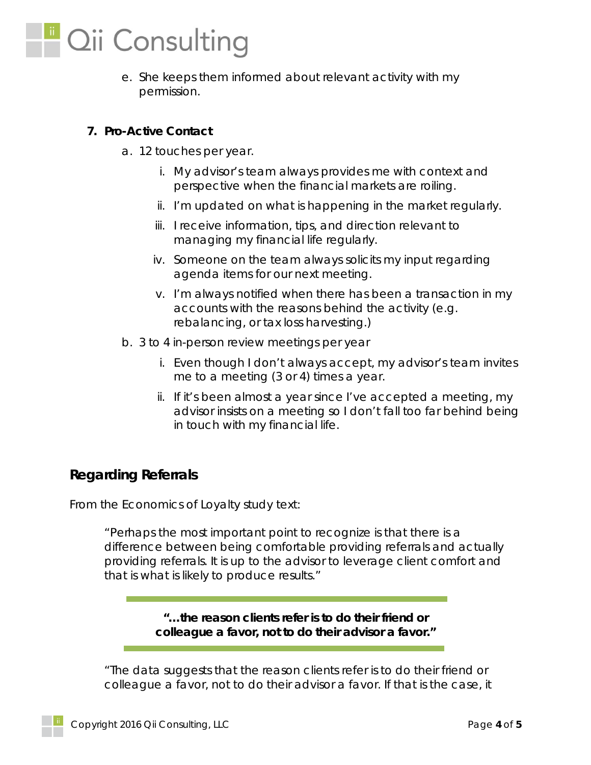

e. She keeps them informed about relevant activity with my permission.

## **7. Pro-Active Contact**

- a. 12 touches per year.
	- i. My advisor's team always provides me with context and perspective when the financial markets are roiling.
	- ii. I'm updated on what is happening in the market regularly.
	- iii. I receive information, tips, and direction relevant to managing my financial life regularly.
	- iv. Someone on the team always solicits my input regarding agenda items for our next meeting.
	- v. I'm always notified when there has been a transaction in my accounts with the reasons behind the activity (e.g. rebalancing, or tax loss harvesting.)
- b. 3 to 4 in-person review meetings per year
	- i. Even though I don't always accept, my advisor's team invites me to a meeting (3 or 4) times a year.
	- ii. If it's been almost a year since I've accepted a meeting, my advisor insists on a meeting so I don't fall too far behind being in touch with my financial life.

## **Regarding Referrals**

From the Economics of Loyalty study text:

*"Perhaps the most important point to recognize is that there is a difference between being comfortable providing referrals and actually providing referrals. It is up to the advisor to leverage client comfort and that is what is likely to produce results."* 

> *"…the reason clients refer is to do their friend or colleague a favor, not to do their advisor a favor."*

*"The data suggests that the reason clients refer is to do their friend or colleague a favor, not to do their advisor a favor. If that is the case, it*